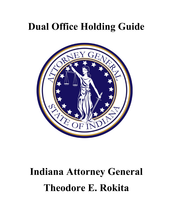# Dual Office Holding Guide



# Indiana Attorney General Theodore E. Rokita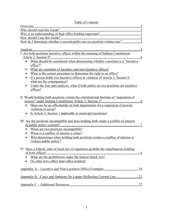## Table of Contents

| I. Are both positions lucrative offices within the meaning of Indiana Constitution                                                                                                                                                                                                  |
|-------------------------------------------------------------------------------------------------------------------------------------------------------------------------------------------------------------------------------------------------------------------------------------|
|                                                                                                                                                                                                                                                                                     |
|                                                                                                                                                                                                                                                                                     |
| office?"                                                                                                                                                                                                                                                                            |
| What are examples of lucrative and non-lucrative offices?<br>$\bullet$                                                                                                                                                                                                              |
| What is the correct procedure to determine the right to an office?                                                                                                                                                                                                                  |
| If a person holds two lucrative offices in violation of Article 2, Section 9,                                                                                                                                                                                                       |
| what are the consequences?                                                                                                                                                                                                                                                          |
| Under the four-part analysis, what if both public service positions are lucrative                                                                                                                                                                                                   |
| offices?                                                                                                                                                                                                                                                                            |
| II. Would holding both positions violate the constitutional doctrine of "separation of<br>Must one be an officeholder in both departments for a separation of powers<br>$\bullet$<br>violation to occur?<br>Is Article 3, Section 1 applicable to municipal positions?<br>$\bullet$ |
| III. Are the positions incompatible and does holding both create a conflict of interest                                                                                                                                                                                             |
| When are two positions incompatible?<br>$\bullet$                                                                                                                                                                                                                                   |
| When is a conflict of interest a crime?                                                                                                                                                                                                                                             |
| Who determines when holding both positions creates a conflict of interest or<br>$\bullet$                                                                                                                                                                                           |
| violates public policy?                                                                                                                                                                                                                                                             |
|                                                                                                                                                                                                                                                                                     |
| IV. Does a federal, state or local law or regulation prohibit the simultaneous holding                                                                                                                                                                                              |
| What are the prohibitions under the federal Hatch Act?                                                                                                                                                                                                                              |
| Do other laws affect dual office holding?                                                                                                                                                                                                                                           |
|                                                                                                                                                                                                                                                                                     |
|                                                                                                                                                                                                                                                                                     |
|                                                                                                                                                                                                                                                                                     |
|                                                                                                                                                                                                                                                                                     |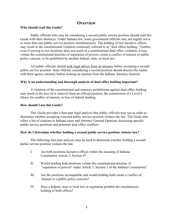# **Overview**

#### Who should read this Guide?

Public officials who may be considering a second public service position should read this Guide with their attorneys. Under Indiana law, some government officials may not legally serve in more than one public service position simultaneously. The holding of two lucrative offices may result in the constitutional violation commonly referred to as "dual office holding." Further, even if serving in two positions does not result in a constitutional dual office violation, it may violate the constitutional doctrine of separation of powers, create a conflict of interest or public policy concern, or be prohibited by another federal, state, or local law.

All public officials should seek legal advice from an attorney before accepting a second public service position. State officials considering a second position should discuss the matter with their agency attorney before seeking an opinion from the Indiana Attorney General.

#### Why is an understanding and thorough analysis of dual office holding important?

A violation of the constitutional and statutory prohibitions against dual office holding may result in the loss of or removal from an official position, the commission of a Level 6 felony for conflict of interest, or loss of federal funding.

#### How should I use this Guide?

This Guide provides a four-part legal analysis that public officials may use in order to determine whether accepting a second public service position violates the law. The Guide also offers a list of citations to Indiana cases and Attorney General Opinions discussing specific public service positions and potential dual office conflicts.

#### How do I determine whether holding a second public service position violates law?

The following four-part analysis may be used to determine whether holding a second public service position violates the law:

- I. Are both positions lucrative offices within the meaning of Indiana Constitution Article 2, Section 9?
- II. Would holding both positions violate the constitutional doctrine of "separation of powers" under Article 3, Section 1 of the Indiana Constitution?
- III. Are the positions incompatible and would holding both create a conflict of interest or a public policy concern?
- IV. Does a federal, state or local law or regulation prohibit the simultaneous holding of both offices?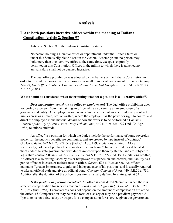# Analysis

# I. Are both positions lucrative offices within the meaning of Indiana Constitution Article 2, Section 9?

Article 2, Section 9 of the Indiana Constitution states:

No person holding a lucrative office or appointment under the United States or under this State is eligible to a seat in the General Assembly; and no person may hold more than one lucrative office at the same time, except as expressly permitted in this Constitution. Offices in the militia to which there is attached no annual salary shall not be deemed lucrative.

The dual office prohibition was adopted by the framers of the Indiana Constitution in order to prevent the consolidation of power in a small number of government officials. Gregory Zoeller, Dual Office Analysis: Can the Legislature Carve Out Exceptions?, 37 Ind. L. Rev. 733, 736-37 (2004).

#### What should be considered when determining whether a position is a "lucrative office"?

**Does the position constitute an office or employment?** The dual office prohibition does not prohibit a person from maintaining an office while also serving as an employee of a governmental entity. An employee is one who is "in the service of another under any contract of hire, express or implied, oral or written, where the employer has the power or right to control and direct the employee in the material details of how the work is to be performed." *Common* Council of the City of Peru v. Peru Daily Tribune, Inc., 440 N.E.2d 726, 729 (Ind. Ct. App. 1982) (citations omitted).

An office "is a position for which the duties include the performance of some sovereign power for the public's benefit, are continuing, and are created by law instead of contract." Gaskin v. Beier, 622 N.E.2d 524, 528 (Ind. Ct. App. 1993) (citations omitted). More specifically, holders of public offices are described as being "charged with duties delegated to them under the state government, with duties imposed upon them by statute, and are subject to legislative control." Wells v. State ex rel. Peden, 94 N.E. 321, 322 (Ind. 1911) (citations omitted). An officer is also distinguished by his or her power of supervision and control, and liability as a public offender in cases of malfeasance in office. Gaskin, 622 N.E.2d at 528. An officer maintains "greater importance, dignity and independence of his position" and is usually required to take an official oath and give an official bond. Common Council of Peru, 440 N.E.2d at 730. Additionally, the duration of the officer's position is usually defined by statute. Id. at 731.

Is the position in question lucrative? An office is considered "lucrative" when there is attached compensation for services rendered. Book v. State Office Bldg. Comm'n, 149 N.E.2d 273, 289 (Ind. 1958). Lucrativeness does not depend on the amount of compensation affixed to the office. Id. Compensation may be in the form of a salary or may be a per diem payment. A "per diem is not a fee, salary or wages. It is a compensation for a service given the government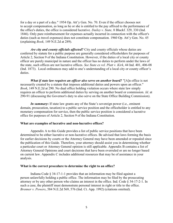for a day or a part of a day." 1954 Op. Att'y Gen. No. 70. Even if the officer chooses not to accept compensation, as long as he or she is entitled to the pay affixed to the performance of the office's duties, the office is considered lucrative. Dailey v. State, 8 Blackf. 329, 330 (Ind. 1846). Only pure reimbursement for expenses actually incurred in connection with the officer's duties (such as travel expenses) does not constitute compensation. 1960 Op. Att'y Gen. No. 45 (explaining Book, 149 N.E.2d at 289).

Are city and county officials affected? City and county officials whose duties are conferred by statute for a public purpose are generally considered officeholders for purposes of Article 2, Section 9 of the Indiana Constitution. However, if the duties of a local city or county officer are purely municipal in nature and the officer has no duties to perform under the laws of the state, such offices are not lucrative offices. See State ex rel. Platt v. Kirk, 44 Ind. 401, 406-08 (Ind. 1873). Local ordinances may add to one's understanding of a local city or county officer's duties.

What if state law requires an officer also serve on another board? "[A]n office is not necessarily created by a statute that imposes additional duties and powers upon an officer." Book, 149 N.E.2d at 290. No dual office holding violation occurs where state law simply requires an officer to perform additional duties by serving on another board or commission. Id. at 290-91 (discussing the Governor's duty to also serve on the State Office Building Commission).

In summary: If state law grants any of the State's sovereign power (i.e., eminent domain, prosecution, taxation) to a public service position and the officeholder is entitled to any monetary compensation for service, then the public service position is considered a lucrative office for purposes of Article 2, Section 9 of the Indiana Constitution.

#### What are examples of lucrative and non-lucrative offices?

Appendix A to this Guide provides a list of public service positions that have been determined to be either lucrative or non-lucrative offices. Be advised that laws forming the basis for earlier decisions by courts or the Attorney General may have been amended or repealed since the publication of this Guide. Therefore, your attorney should assist you in determining whether a particular court or Attorney General opinion is still applicable. Appendix B contains a list of Attorney General Opinions and court decisions that have been overruled or are no longer based on current law. Appendix C includes additional resources that may be of assistance in your analysis.

#### What is the correct procedure to determine the right to an office?

Indiana Code § 34-17-1-1 provides that an information may be filed against a person unlawfully holding a public office. The information may be filed by the prosecuting attorney or by any other person who claims an interest in the office. Ind. Code § 34-17-2-1. In such a case, the plaintiff must demonstrate personal interest in right or title to the office. Brenner v. Powers, 584 N.E.2d 569, 576 (Ind. Ct. App. 1992) (citations omitted).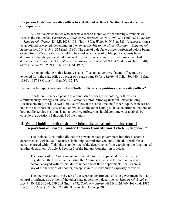#### If a person holds two lucrative offices in violation of Article 2, Section 9, what are the consequences?

A lucrative officeholder who accepts a second lucrative office thereby surrenders or vacates the first office. Chambers v. State ex rel. Barnard, 26 N.E. 893, 894 (Ind. 1891); Bishop v. State ex rel. Griner, 48 N.E. 1038, 1041 (Ind. 1898); Wells, 94 N.E. at 323. A successor must be appointed or elected, depending on the law applicable to the office. *Gosman v. State ex. rel.* Schumacher, 6 N.E. 349, 353 (Ind. 1886). The acts of a de facto officer performed before being ousted from office are typically held to be valid as a matter of public policy. Courts have determined that the public should not suffer from the acts of an officer who may have had defective title or no title at all. State ex rel. Bishop v. Crowe, 50 N.E. 471, 473-74 (Ind. 1898); State v. Sutherlin, 75 N.E. 642, 646 (Ind. 1905).

A person holding both a lucrative state office and a lucrative federal office may be expelled from the state office by order of a state court. Foltz v. Kerlin, 4 N.E. 439, 440-41 (Ind. 1886); 1987-88 Op. Att'y Gen. No. 87-17.

#### Under the four-part analysis, what if both public service positions are lucrative offices?

If both public service positions are lucrative offices, then holding both offices simultaneously infringes on Article 2, Section 9's prohibition against dual office holding. Because one may not hold two lucrative offices at the same time, no further inquiry is necessary under the four-part analysis set out above. If, on the other hand, you have determined that one or both public service positions is not a lucrative office, you should continue your analysis by considering questions 2 through 4 of the inquiry.

## II. Would holding both positions violate the constitutional doctrine of "separation of powers" under Indiana Constitution Article 3, Section 1?

The Indiana Constitution divides the powers of state government into three separate departments: Legislative, Executive (including Administrative), and Judicial. It prohibits a person charged with official duties under one of the departments from exercising the functions of another department. Article 3, Section 1 of the Indiana Constitution provides:

The powers of the Government are divided into three separate departments; the Legislative, the Executive including the Administrative, and the Judicial: and no person, charged with official duties under one of these departments, shall exercise any of the functions of another, except as in this Constitution expressly provided.

The doctrine serves to rid each of the separate departments of state government from any control or influence by either of the other state government departments. State ex rel. Black v. Burch, 80 N.E.2d 294, 299-303 (Ind. 1948); Schloer v. Moran, 482 N.E.2d 460, 463 (Ind. 1985); Phelps v. Sybinsky, 736 N.E.2d 809, 815-16 (Ind. Ct. App. 2000).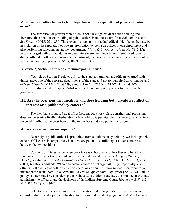#### Must one be an office holder in both departments for a separation of powers violation to occur?

The separation of powers prohibition is not a law against dual office holding and, therefore, the simultaneous holding of public offices is not necessary for a violation to occur. See Book, 149 N.E.2d at 296. Thus, even if a person is not a dual officeholder, he or she may be in violation of the separation of powers prohibition by being an officer in one department and also performing functions in another department. Id.; 1983-84 Op. Att'y Gen. No. 83-5. If a person charged with official duties in one state government department is employed to perform duties, official or otherwise, in another department, the door is opened to influence and control by the employing department. Black, 80 N.E.2d at 302.

#### Is Article 3, Section 1 applicable to municipal positions?

"[Article 3, Section 1] relates only to the state government and officers charged with duties under one of the separate departments of the state and not to municipal governments and officers." Gaskin, 622 N.E.2d at 529; State v. Monfort, 723 N.E.2d 407, 414 (Ind. 2000). However, Indiana Code Chapter 36-4-4 sets out the separation of powers for city branches of government.

## III. Are the positions incompatible and does holding both create a conflict of interest or a public policy concern?

The fact that a proposed dual office holding does not violate constitutional provisions does not determine finally whether dual office holding is permissible. It is necessary to review potential conflicts of interest between the two offices and also public policy concerns.

#### When are two positions incompatible?

Generally, a public officer is prohibited from simultaneously holding two incompatible offices. Offices are incompatible when there are potential conflicting or adverse interests between the two positions.

Conflicts of interest arise when one office is subordinate to the other or where the functions of the two offices are inherently inconsistent and repugnant. Gregory Zoeller, Dual Office Analysis: Can the Legislature Carve Out Exceptions?, 37 Ind. L. Rev. 733, 763 (2004) (citations omitted). When one person cannot "discharge faithfully, impartially, and efficiently the duties of both offices, considerations of public policy render it improper for an incumbent to retain both." 63C Am. Jur. 2d Public Officers and Employees §58 (2012). Public policy is determined by considering the Indiana Constitution, state law, the practice of the state's administrative officers, and the decisions of the Indiana Supreme Court. Hogston v. Bell, 112 N.E. 883, 886 (Ind. 1916).

Potential conflicts may arise in representation, salary negotiations, supervision and control of duties, and a public obligation to exercise independent judgment. 63C Am Jur. 2d at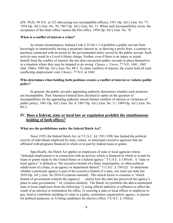§58; Wells, 94 N.E. at 323 (discussing two incompatible offices); 1951 Op. Att'y Gen. No. 77; 1954 Op. Att'y Gen. No. 70; 1967 Op. Att'y Gen. No. 11. When such incompatibility exists, the acceptance of the latter office vacates the first office. 1954 Op. Att'y Gen. No. 70.

#### When is a conflict of interest a crime?

In certain circumstances, Indiana Code § 35-44.1-1-4 prohibits a public servant from knowingly or intentionally having a pecuniary interest in, or deriving a profit from, a contract or purchase connected with an action by the governmental entity served by the public servant. Such activity may result in a Level 6 felony charge. Further, even if there is no injury or actual benefit from the conflict of interest, the law does not permit public servants to place themselves in a situation where they may be tempted to do wrong. Cheney v. Unroe, 77 N.E. 1041, 1043 (Ind. 1906); 1989 Op. Att'y Gen. No. 89-3. To deter conflicts of interest, the courts hold all such conflicting employment void. Cheney, 77 N.E. at 1042.

#### Who determines when holding both positions creates a conflict of interest or violates public policy?

In general, the public servant's appointing authority determines whether such positions are incompatible. Past Attorneys General have declined to opine on the question of incompatibility for the appointing authority absent blatant conflicts of interest or violations of public policy. 1961 Op. Att'y Gen. No. 4; 1967 Op. Att'y Gen. No. 11; 1989 Op. Att'y Gen. No. 89-3.

## IV. Does a federal, state or local law or regulation prohibit the simultaneous holding of both offices?

#### What are the prohibitions under the federal Hatch Act?

Since 1939, the federal Hatch Act, at 5 U.S.C. §§ 1501-1508, has limited the political activity of individuals employed by state, county, or municipal executive agencies that are affiliated with programs financed in whole or in part by federal loans or grants.

Specifically, the Hatch Act applies to employees of state or local agencies whose "principal employment is in connection with an activity which is financed in whole or in part by loans or grants made by the United States or a federal agency." 5 U.S.C. § 1501(4). A "state or local agency" is defined as "the executive branch of a State, municipality, or other political subdivision of a State, or an agency or department thereof." 5 U.S.C. § 1501(2). To determine whether a particular agency is part of the executive branch of a state, one must use state law. 2010 Op. Att'y Gen. No 2010-4 (citation omitted). The critical factor to examine is "which branch of government controls the [agency] . . . and/or how the state has perceived the agency's place in state government." Id. (citation omitted). The Hatch Act prohibits the above-mentioned state or local employees from the following: 1) using official authority or influence to affect the result of an election or nomination for office; 2) coercing a state or local officer or employee to pay, lend or contribute anything of value to a party, committee, organization, agency, or person for political purposes; or 3) being candidates for elective office. 5 U.S.C. § 1502(a).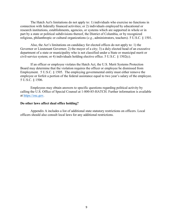The Hatch Act's limitations do not apply to: 1) individuals who exercise no functions in connection with federally financed activities; or 2) individuals employed by educational or research institutions, establishments, agencies, or systems which are supported in whole or in part by a state or political subdivisions thereof, the District of Columbia, or by recognized religious, philanthropic or cultural organizations (e.g., administrators, teachers). 5 U.S.C. § 1501.

Also, the Act's limitations on candidacy for elected offices do not apply to: 1) the Governor or Lieutenant Governor; 2) the mayor of a city; 3) a duly elected head of an executive department of a state or municipality who is not classified under a State or municipal merit or civil-service system; or 4) individuals holding elective office. 5 U.S.C. § 1502(c).

If an officer or employee violates the Hatch Act, the U.S. Merit Systems Protection Board may determine that the violation requires the officer or employee be dismissed from Employment. 5 U.S.C. § 1505. The employing governmental entity must either remove the employee or forfeit a portion of the federal assistance equal to two year's salary of the employee. 5 U.S.C. § 1506.

Employees may obtain answers to specific questions regarding political activity by calling the U.S. Office of Special Counsel at 1-800-85-HATCH. Further information is available at https://osc.gov.

#### Do other laws affect dual office holding?

Appendix A includes a list of additional state statutory restrictions on officers. Local officers should also consult local laws for any additional restrictions.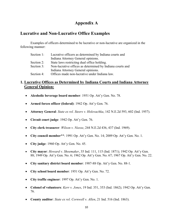# Appendix A

# Lucrative and Non-Lucrative Office Examples

Examples of officers determined to be lucrative or non-lucrative are organized in the following manner:

| Section 1: | Lucrative officers as determined by Indiana courts and    |
|------------|-----------------------------------------------------------|
|            | Indiana Attorney General opinions.                        |
| Section 2: | State laws restricting dual office holding.               |
| Section 3: | Non-lucrative offices as determined by Indiana courts and |
|            | Indiana Attorney General opinions.                        |
| Section 4: | Offices made non-lucrative under Indiana law.             |

# 1. Lucrative Offices as Determined by Indiana Courts and Indiana Attorney General Opinion:

- Alcoholic beverage board member: 1951 Op. Att'y Gen. No. 78.
- Armed forces officer (federal): 1942 Op. Att'y Gen. 76.
- Attorney General: State ex rel. Steers v. Holovachka, 142 N.E.2d 593, 602 (Ind. 1957).
- Circuit court judge: 1942 Op. Att'y Gen. 76.
- City clerk treasurer: *Wilson v. Niesse*, 244 N.E.2d 436, 437 (Ind. 1969).
- City council member\*\*: 1991 Op. Att'y Gen. No. 14; 2009 Op. Att'y Gen. No. 1.
- City judge: 1960 Op. Att'y Gen. No. 45.
- City mayor: Howard v. Shoemaker, 35 Ind. 111, 115 (Ind. 1871); 1942 Op. Att'y Gen. 88; 1949 Op. Att'y Gen. No. 6; 1962 Op. Att'y Gen. No. 67; 1967 Op. Att'y Gen. No. 22.
- City sanitary district board member: 1987-88 Op. Att'y Gen. No. 88-1.
- City school board member: 1951 Op. Att'y Gen. No. 72.
- City traffic engineer: 1997 Op. Att'y Gen. No. 1.
- Colonel of volunteers: Kerr v. Jones, 19 Ind. 351, 353 (Ind. 1862); 1942 Op. Att'y Gen. 76.
- County auditor: State ex rel. Cornwell v. Allen, 21 Ind. 516 (Ind. 1863).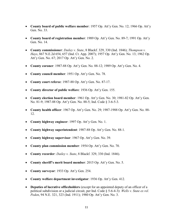- County board of public welfare member: 1957 Op. Att'y Gen. No. 12; 1966 Op. Att'y Gen. No. 33.
- County board of registration member: 1989 Op. Att'y Gen. No. 89-7; 1991 Op. Att'y Gen. No. 14.
- County commissioner: Dailey v. State,  $8$  Blackf. 329, 330 (Ind. 1846); Thompson v. Hays, 867 N.E.2d 654, 657 (Ind. Ct. App. 2007); 1957 Op. Att'y Gen. No. 13; 1962 Op. Att'y Gen. No. 67; 2017 Op. Att'y Gen. No. 2.
- County coroner: 1987-88 Op. Att'y Gen. No. 88-12; 1989 Op. Att'y Gen. No. 4.
- County council member: 1951 Op. Att'y Gen. No. 78.
- County court referee: 1987-88 Op. Att'y Gen. No. 87-17.
- County director of public welfare: 1936 Op. Att'y Gen. 155.
- County election board member: 1961 Op. Att'y Gen. No. 30; 1981-82 Op. Att'y Gen. No. 81-9; 1987-88 Op. Att'y Gen. No. 88-5; Ind. Code § 3-6-5-3.
- County health officer: 1967 Op. Att'y Gen. No. 29; 1987-1988 Op. Att'y Gen. No. 88- 12.
- County highway engineer: 1997 Op. Att'y Gen. No. 1.
- County highway superintendent: 1987-88 Op. Att'y Gen. No. 88-1.
- County highway supervisor: 1967 Op. Att'y Gen. No. 39.
- County plan commission member: 1954 Op. Att'y Gen. No. 70.
- County recorder: Dailey v. State, 8 Blackf. 329, 330 (Ind. 1846).
- County sheriff's merit board member: 2015 Op. Att'y Gen. No. 5.
- County surveyor: 1933 Op. Att'y Gen. 254.
- County welfare department investigator: 1936 Op. Att'y Gen. 412.
- Deputies of lucrative officeholders (except for an appointed deputy of an officer of a political subdivision or a judicial circuit, per Ind. Code  $\S$  5-6-4-3): Wells v. State ex rel. Peden, 94 N.E. 321, 323 (Ind. 1911); 1980 Op. Att'y Gen. No. 3.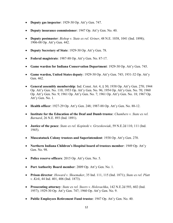- Deputy gas inspector: 1929-30 Op. Att'y Gen. 747.
- Deputy insurance commissioner: 1947 Op. Att'y Gen. No. 40.
- Deputy postmaster: Bishop v. State ex rel. Griner, 48 N.E. 1038, 1041 (Ind. 1898); 1906-08 Op. Att'y Gen. 442.
- Deputy Secretary of State: 1929-30 Op. Att'y Gen. 78.
- Federal magistrate: 1987-88 Op. Att'y Gen. No. 87-17.
- Game warden for Indiana Conservation Department: 1929-30 Op. Att'y Gen. 745.
- Game warden, United States deputy: 1929-30 Op. Att'y Gen. 745; 1931-32 Op. Att'y Gen. 462.
- General assembly membership: Ind. Const. Art. 4, § 30; 1938 Op. Att'y Gen. 270; 1944 Op. Att'y Gen. No. 110; 1953 Op. Att'y Gen. No. 96; 1954 Op. Att'y Gen. No. 70; 1960 Op. Att'y Gen. No. 9; 1961 Op. Att'y Gen. No. 7; 1961 Op. Att'y Gen. No. 18; 1967 Op. Att'y Gen. No. 1.
- Health officer: 1927-29 Op. Att'y Gen. 248; 1987-88 Op. Att'y Gen. No. 88-12.
- **Institute for the Education of the Deaf and Dumb trustee:** *Chambers v. State ex rel.* Barnard, 26 N.E. 893 (Ind. 1891).
- Justice of the peace: State ex rel. Kopinski v. Grzeskowiak, 59 N.E.2d 110, 111 (Ind. 1945).
- Muscatatuck Colony trustees and Superintendent: 1938 Op. Att'y Gen. 270.
- Northern Indiana Children's Hospital board of trustees member: 1949 Op. Att'y Gen. No. 98.
- Police reserve officers: 2015 Op. Att'y Gen. No. 5.
- Port Authority Board member: 2009 Op. Att'y Gen. No. 1.
- Prison director: Howard v. Shoemaker, 35 Ind. 111, 115 (Ind. 1871); State ex rel. Platt v. Kirk, 44 Ind. 401, 406 (Ind. 1873).
- Prosecuting attorney: State ex rel. Steers v. Holovachka, 142 N.E.2d 593, 602 (Ind. 1957); 1929-30 Op. Att'y Gen. 747; 1960 Op. Att'y Gen. No. 9.
- Public Employees Retirement Fund trustee: 1947 Op. Att'y Gen. No. 40.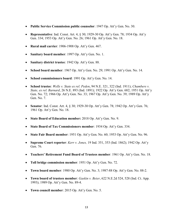- Public Service Commission public counselor: 1947 Op. Att'y Gen. No. 30.
- Representative: Ind. Const. Art. 4,  $\S 30$ ; 1929-30 Op. Att'y Gen. 78; 1934 Op. Att'y Gen. 334; 1953 Op. Att'y Gen. No. 26; 1961 Op. Att'y Gen. No. 18.
- Rural mail carrier: 1906-1908 Op. Att'y Gen. 467.
- Sanitary board member: 1997 Op. Att'y Gen. No. 1.
- Sanitary district trustee: 1942 Op. Att'y Gen. 88.
- School board member: 1967 Op. Att'y Gen. No. 29; 1991 Op. Att'y Gen. No. 14.
- School commissioners board: 1991 Op. Att'y Gen. No. 14.
- School trustee: Wells v. State ex rel. Peden,  $94$  N.E. 321, 322 (Ind. 1911); Chambers v. State, ex rel. Barnard, 26 N.E. 893 (Ind. 1891); 1922 Op. Att'y Gen. 682; 1951 Op. Att'y Gen. No. 72; 1966 Op. Att'y Gen. No. 33; 1967 Op. Att'y Gen. No. 39; 1989 Op. Att'y Gen. No. 7.
- Senator: Ind. Const. Art. 4, § 30; 1929-30 Op. Att'y Gen. 78; 1942 Op. Att'y Gen. 76; 1961 Op. Att'y Gen. No. 18.
- State Board of Education member: 2018 Op. Att'y Gen. No. 9.
- State Board of Tax Commissioners member: 1934 Op. Att'y Gen. 334.
- State Fair Board member: 1951 Op. Att'y Gen. No. 60; 1953 Op. Att'y Gen. No. 96.
- Supreme Court reporter: Kerr v. Jones, 19 Ind. 351, 353 (Ind. 1862); 1942 Op. Att'y Gen. 76.
- Teachers' Retirement Fund Board of Trustees member: 1961 Op. Att'y Gen. No. 18.
- Toll bridge commission member: 1951 Op. Att'y Gen. No. 72.
- Town board member: 1980 Op. Att'y Gen. No. 3; 1987-88 Op. Att'y Gen. No. 88-2.
- Town board of trustees member: Gaskin v. Beier, 622 N.E.2d 524, 528 (Ind. Ct. App. 1993); 1989 Op. Att'y Gen. No. 89-4.
- Town council member: 2015 Op. Att'y Gen. No. 5.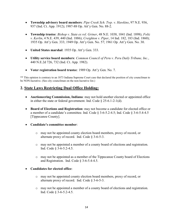- Township advisory board members: Pipe Creek Sch. Twp. v. Hawkins, 97 N.E. 936, 937 (Ind. Ct. App. 1912); 1987-88 Op. Att'y Gen. No. 88-2.
- Township trustee: Bishop v. State ex rel. Griner,  $48$  N.E. 1038, 1041 (Ind. 1898); Foltz v. Kerlin, 4 N.E. 439, 440 (Ind. 1886); Creighton v. Piper, 14 Ind. 182, 183 (Ind. 1860); 1935 Op. Att'y Gen. 333; 1949 Op. Att'y Gen. No. 57; 1961 Op. Att'y Gen. No. 30.
- United States marshal: 1935 Op. Att'y Gen. 333.
- Utility service board members: Common Council of Peru v. Peru Daily Tribune, Inc., 440 N.E.2d 726, 732 (Ind. Ct. App. 1982).
- Voter registration board trustee: 1989 Op. Att'y Gen. No. 7.

\*\* This opinion is contrary to an 1873 Indiana Supreme Court case that declared the position of city councilman to be NON-lucrative. (See city councilman on the non-lucrative list.)

## 2. State Laws Restricting Dual Office Holding:

- Auctioneering Commission, Indiana: may not hold another elected or appointed office in either the state or federal government. Ind. Code § 25-6.1-2-1(d).
- Board of Elections and Registration: may not become a candidate for elected office or a member of a candidate's committee. Ind. Code  $\S 3$ -6-5.2-4.5; Ind. Code  $\S 3$ -6-5.4-4.5 [Tippecanoe County].
- Candidate's committee member:
	- o may not be appointed county election board members, proxy of record, or alternate proxy of record. Ind. Code § 3-6-5-3.
	- o may not be appointed a member of a county board of elections and registration. Ind. Code § 3-6-5.2-4.5.
	- o may not be appointed as a member of the Tippecanoe County board of Elections and Registration. Ind. Code § 3-6-5.4-4.5.

#### Candidates for elected office:

- o may not be appointed county election board members, proxy of record, or alternate proxy of record. Ind. Code § 3-6-5-3.
- o may not be appointed a member of a county board of elections and registration. Ind. Code § 3-6-5.2-4.5.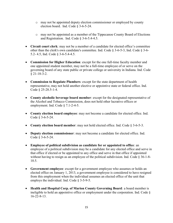- o may not be appointed deputy election commissioner or employed by county election board. Ind. Code § 3-6-5-24.
- o may not be appointed as a member of the Tippecanoe County Board of Elections and Registration. Ind. Code § 3-6-5.4-4.5.
- Circuit court clerk: may not be a member of a candidate for elected office's committee other than the clerk's own candidate's committee. Ind. Code § 3-6-5-3, Ind. Code § 3-6- 5.2- 4.5, Ind. Code § 3-6-5.4-4.5.
- Commission for Higher Education: except for the one full-time faculty member and one appointed student member, may not be a full-time employee of or serve on the governing board of any state public or private college or university in Indiana. Ind. Code  $§$  21-18-3-2.
- Commission to Regulate Plumbers: except for the state department of health representative, may not hold another elective or appointive state or federal office. Ind. Code § 25-28.5-1-4.
- County alcoholic beverage board member: except for the designated representative of the Alcohol and Tobacco Commission, does not hold other lucrative offices or employment. Ind. Code § 7.1-2-4-5.
- County election board employee: may not become a candidate for elected office. Ind. Code § 3-6-5-24.
- County election board member: may not hold elected office. Ind. Code § 3-6-5-3.
- Deputy election commissioner: may not become a candidate for elected office. Ind. Code § 3-6-5-24.
- Employee of political subdivision as candidate for or appointed to office: an employee of a political subdivision may be a candidate for any elected office and serve in that office if elected or be appointed to any office and serve in that office if appointed without having to resign as an employee of the political subdivision. Ind. Code § 36-1-8-10.5.
- Government employee: except for a government employee who assumes or holds an elected office on January 1, 2013, a government employee is considered to have resigned from this employment when the individual assumes an elected office of the unit that employs the individual. Ind. Code § 3-5-9-5.
- Health and Hospital Corp. of Marion County Governing Board: a board member is ineligible to hold an appointive office or employment under the corporation. Ind. Code § 16-22-8-13.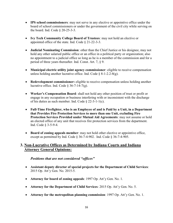- IPS school commissioners: may not serve in any elective or appointive office under the board of school commissioners or under the government of the civil city while serving on the board. Ind. Code § 20-25-3-3.
- Ivy Tech Community College Board of Trustees: may not hold an elective or appointed office of the state. Ind. Code § 21-22-3-3.
- Judicial Nominating Commission: other than the Chief Justice or his designee, may not hold any other salaried public office or an office in a political party or organization; also no appointment to a judicial office so long as he is a member of the commission and for a period of three years thereafter. Ind. Const. Art. 7, § 9.
- Municipal electric utility joint agency commissioner: eligible to receive compensation unless holding another lucrative office. Ind. Code  $\S$  8-1-2.2-8(g).
- Redevelopment commissioner: eligible to receive compensation unless holding another lucrative office. Ind. Code  $\S 36-7-14-7(g)$ .
- Worker's Compensation Board: shall not hold any other position of trust or profit or engage in any occupation or business interfering with or inconsistent with the discharge of his duties as such member. Ind. Code § 22-3-1-1(c).
- Full-Time Firefighter, who is an Employee of and is Paid by a Unit, in a Department that Provides Fire Protection Services to more than one Unit, excluding Fire Protection Services Provided under Mutual Aid Agreements: may not assume or hold an elected office of any unit that receives fire protection services from the department. Ind. Code § 3-5-9-4.
- Board of zoning appeals member: may not hold other elective or appointive office, except as permitted by Ind. Code § 36-7-4-902. Ind. Code § 36-7-4-905.

## 3. Non-Lucrative Offices as Determined by Indiana Courts and Indiana Attorney General Opinions:

## Positions that are not considered "offices"

- Assistant deputy director of special projects for the Department of Child Services: 2015 Op. Att'y Gen. No. 2015-5.
- Attorney for board of zoning appeals: 1997 Op. Att'y Gen. No. 1.
- Attorney for the Department of Child Services: 2015 Op. Att'y Gen. No. 5.
- Attorney for the metropolitan planning commission: 1997 Op. Att'y Gen. No. 1.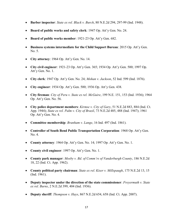- **Barber inspector**: *State ex rel. Black v. Burch*,  $80$  N.E.2d 294, 297-99 (Ind. 1948).
- Board of public works and safety clerk: 1947 Op. Att'y Gen. No. 24.
- Board of public works member: 1921-23 Op. Att'y Gen. 682.
- Business systems intermediate for the Child Support Bureau: 2015 Op. Att'y Gen. No. 5.
- City attorney: 1964 Op. Att'y Gen. No. 14.
- City civil engineer: 1921-23 Op. Att'y Gen. 365; 1934 Op. Att'y Gen. 500; 1997 Op. Att'y Gen. No. 1.
- City clerk: 1947 Op. Att'y Gen. No. 24; Mohan v. Jackson, 52 Ind. 599 (Ind. 1876).
- City engineer: 1934 Op. Att'y Gen. 500; 1936 Op. Att'y Gen. 438.
- City fireman: City of Peru v. State ex rel. McGuire, 199 N.E. 151, 153 (Ind. 1936); 1964 Op. Att'y Gen. No. 56.
- City police department members: Kirmse v. City of Gary, 51 N.E.2d 883, 884 (Ind. Ct. App. 1944); State ex rel. Palm v. City of Brazil, 73 N.E.2d 485, 488 (Ind. 1947); 1961 Op. Att'y Gen. No. 4.
- Committee membership: *Branham v. Lange*, 16 Ind. 497 (Ind. 1861).
- Controller of South Bend Public Transportation Corporation: 1968 Op. Att'y Gen. No. 4.
- County attorney: 1964 Op. Att'y Gen. No. 14; 1997 Op. Att'y Gen. No. 1.
- County civil engineer: 1997 Op. Att'y Gen. No. 1.
- County park manager: Mosby v. Bd. of Comm'rs of Vanderburgh County, 186 N.E.2d 18, 22 (Ind. Ct. App. 1962).
- County political party chairman: State ex rel. Kiser v. Millspaugh, 175 N.E.2d 13, 15 (Ind. 1961).
- Deputy inspector under the direction of the state commissioner: Freyermuth v. State ex rel. Burns, 2 N.E.2d 399, 404 (Ind. 1936).
- **•** Deputy sheriff: *Thompson v. Hays*,  $867$  N.E.2d  $654$ ,  $658$  (Ind. Ct. App. 2007).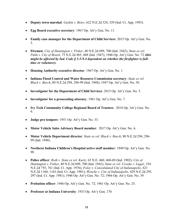- Deputy town marshal: Gaskin v. Beier, 622 N.E.2d 524, 529 (Ind. Ct. App. 1993).
- Egg Board executive secretary: 1967 Op. Att'y Gen. No. 11.
- Family case manager for the Department of Child Services: 2015 Op. Att'y Gen. No. 5.
- Firemen: City of Huntington v. Fisher, 40 N.E.2d 699, 700 (Ind. 1942); State ex rel. Palm v. City of Brazil, 73 N.E.2d 485, 488 (Ind. 1947); 1946 Op. Att'y Gen. No. 72 (this might be affected by Ind. Code  $\S$  3-5-9-4 dependent on whether the firefighter is fulltime or volunteer).
- Housing Authority executive director: 1967 Op. Att'y Gen. No. 1.
- Indiana Flood Control and Water Resource Commission secretary: State ex rel. Black v. Burch, 80 N.E.2d 294, 296-99 (Ind. 1948); 1947 Op. Att'y Gen. No. 30.
- Investigator for the Department of Child Services: 2015 Op. Att'y Gen. No. 5.
- Investigator for a prosecuting attorney: 1961 Op. Att'y Gen. No. 7.
- Ivy Tech Community College Regional Board of Trustees: 2018 Op. Att'y Gen. No. 9.
- Judge pro tempore: 1951 Op. Att'y Gen. No. 33.
- Motor Vehicle Sales Advisory Board member: 2017 Op. Att'y Gen. No. 6.
- Motor Vehicle Department director: State ex rel. Black v. Burch, 80 N.E.2d 294, 296-99 (Ind. 1948).
- Northern Indiana Children's Hospital active staff member: 1949 Op. Att'y Gen. No. 98.
- Police officer: Roth v. State ex rel. Kurtz,  $63$  N.E.  $460$ ,  $468-69$  (Ind. 1902); City of Huntington v. Fisher, 40 N.E.2d 699, 700 (Ind. 1942); State ex rel. Crooke v. Lugar, 354 N.E.2d 755, 761 (Ind. Ct. App. 1976); Foley v. Consolidated City of Indianapolis, 421 N.E.2d 1160, 1163 (Ind. Ct. App. 1981); Wencke v. City of Indianapolis, 429 N.E.2d 295, 297 (Ind. Ct. App. 1981); 1946 Op. Att'y Gen. No. 72; 1966 Op. Att'y Gen. No. 39.
- Probation officer: 1946 Op. Att'y Gen. No. 72; 1961 Op. Att'y Gen. No. 25.
- Professor at Indiana University: 1933 Op. Att'y Gen. 170.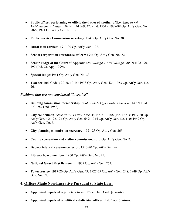- Public officer performing  $ex$  officio the duties of another office: State ex rel. McManamon v. Felger, 102 N.E.2d 369, 370 (Ind. 1951); 1987-88 Op. Att'y Gen. No. 88-5; 1991 Op. Att'y Gen. No. 19.
- Public Service Commission secretary: 1947 Op. Att'y Gen. No. 30.
- Rural mail carrier: 1917-20 Op. Att'y Gen. 102.
- School corporation attendance officer: 1946 Op. Att'y Gen. No. 72.
- Senior Judge of the Court of Appeals: McCullough v. McCullough, 705 N.E.2d 190, 197 (Ind. Ct. App. 1999).
- Special judge: 1951 Op. Att'y Gen. No. 33.
- Teacher: Ind. Code § 20-28-10-15; 1938 Op. Att'y Gen. 424; 1953 Op. Att'y Gen. No. 26.

### Positions that are not considered "lucrative"

- Building commission membership: Book v. State Office Bldg. Comm'n., 149 N.E.2d 273, 289 (Ind. 1958).
- City councilman: State ex rel. Platt v. Kirk, 44 Ind. 401, 408 (Ind. 1873); 1917-20 Op. Att'y Gen. 49; 1923-24 Op. Att'y Gen. 649; 1944 Op. Att'y Gen. No. 110; 1949 Op. Att'y Gen. No. 6.
- City planning commission secretary: 1921-23 Op. Att'y Gen. 365.
- County convention and visitor commission: 2017 Op. Att'y Gen. No. 2.
- Deputy internal revenue collector: 1917-20 Op. Att'y Gen. 49.
- Library board member: 1960 Op. Att'y Gen. No. 45.
- National Guard first lieutenant: 1937 Op. Att'y Gen. 252.
- Town trustee: 1917-20 Op. Att'y Gen. 49; 1927-29 Op. Att'y Gen. 248; 1949 Op. Att'y Gen. No. 57.

## 4. Offices Made Non-Lucrative Pursuant to State Law:

- Appointed deputy of a judicial circuit officer: Ind. Code  $\S$  5-6-4-3.
- Appointed deputy of a political subdivision officer: Ind. Code  $\S 5-6-4-3$ .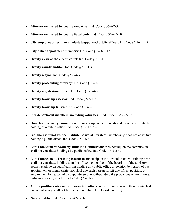- Attorney employed by county executive: Ind. Code § 36-2-2-30.
- Attorney employed by county fiscal body: Ind. Code § 36-2-3-10.
- City employee other than an elected/appointed public officer: Ind. Code § 36-4-4-2.
- City police department members: Ind. Code § 36-8-3-12.
- Deputy clerk of the circuit court: Ind. Code  $\S$  5-6-4-3.
- Deputy county auditor: Ind. Code  $\S$  5-6-4-3.
- Deputy mayor: Ind. Code  $§$  5-6-4-3.
- Deputy prosecuting attorney: Ind. Code  $\S$  5-6-4-3.
- Deputy registration officer: Ind. Code  $\S$  5-6-4-3.
- Deputy township assessor: Ind. Code  $\S$  5-6-4-3.
- Deputy township trustee: Ind. Code  $\S$  5-6-4-3.
- Fire department members, including volunteers: Ind. Code  $\S 36-8-3-12$ .
- Homeland Security Foundation: membership on the foundation does not constitute the holding of a public office. Ind. Code  $\S$  10-15-2-4.
- Indiana Criminal Justice Institute Board of Trustees: membership does not constitute holding a public office. Ind. Code § 5-2-6-4.
- Law Enforcement Academy Building Commission: membership on the commission shall not constitute holding of a public office. Ind. Code  $\S$  5-2-2-4.
- Law Enforcement Training Board: membership on the law enforcement training board shall not constitute holding a public office; no member of the board or of the advisory council shall be disqualified from holding any public office or position by reason of his appointment or membership, nor shall any such person forfeit any office, position, or employment by reason of an appointment, notwithstanding the provisions of any statute, ordinance, or city charter. Ind. Code § 5-2-1-5.
- Militia positions with no compensation: offices in the militia to which there is attached no annual salary shall not be deemed lucrative. Ind. Const. Art. 2, § 9.
- Notary public: Ind. Code  $\S$  33-42-12-1(i).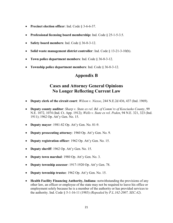- Precinct election officer: Ind. Code § 3-6-6-37.
- Professional licensing board membership: Ind. Code  $\S 25$ -1-5-3.5.
- Safety board members: Ind. Code  $\S 36-8-3-12$ .
- Solid waste management district controller: Ind. Code § 13-21-3-10(b).
- Town police department members: Ind. Code § 36-8-3-12.
- Township police department members: Ind. Code § 36-8-3-12.

# Appendix B

# Cases and Attorney General Opinions No Longer Reflecting Current Law

- **Deputy clerk of the circuit court:** Wilson v. Niesse, 244 N.E.2d 436, 437 (Ind. 1969).
- Deputy county auditor: Sharp v. State ex rel. Bd. of Comm'rs of Kosciusko County, 99 N.E. 1072, 1074 (Ind. Ct. App. 1912); Wells v. State ex rel. Peden, 94 N.E. 321, 323 (Ind. 1911); 1962 Op. Att'y Gen. No. 15.
- Deputy mayor: 1981-82 Op. Att'y Gen. No. 81-9.
- Deputy prosecuting attorney: 1960 Op. Att'y Gen. No. 9.
- Deputy registration officer: 1962 Op. Att'y Gen. No. 15.
- Deputy sheriff: 1962 Op. Att'y Gen. No. 15.
- Deputy town marshal: 1980 Op. Att'y Gen. No. 3.
- Deputy township assessor: 1917-1920 Op. Att'y Gen. 78.
- Deputy township trustee: 1962 Op. Att'y Gen. No. 15.
- Health Facility Financing Authority, Indiana: notwithstanding the provisions of any other law, an officer or employee of the state may not be required to leave his office or employment solely because he is a member of the authority or has provided services to the authority. Ind. Code  $\S 5{\text -}1{\text -}16{\text -}11$  (1983) (Repealed by P.L.162-2007, SEC.42).